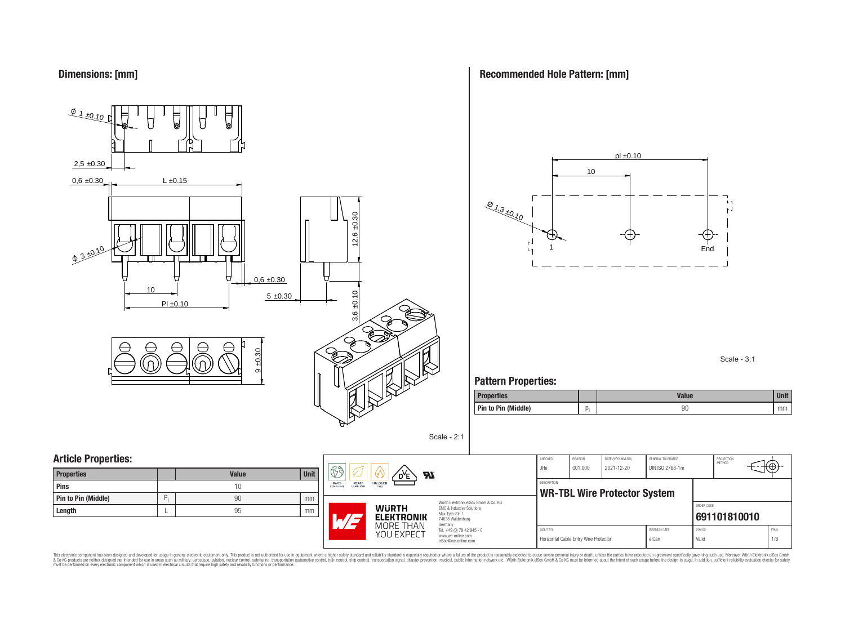

**Recommended Hole Pattern: [mm]**



Scale - 3:1

### **Pattern Properties:**

| <b>Properties</b>   | <b>Value</b> | <b>Unit</b> |
|---------------------|--------------|-------------|
| Pin to Pin (Middle) | 90           | mm          |

| <b>Properties</b>   |   | <b>Value</b> | Unit |
|---------------------|---|--------------|------|
| Pins                |   | 10           |      |
| Pin to Pin (Middle) | D | 90           | mm   |
| Length              |   | 95           | mm   |



Würth Elektronik eiSos GmbH & Co. KG EMC & Inductive Solutions Max-Eyth-Str. 1 74638 Waldenburg Germany Tel. +49 (0) 79 42 945 - 0 www.we-online.com

eiSos@we-online.com

Scale - 2:1

| CHECKED            | <b>REVISION</b> | DATE (YYYY-MM-DD)                   | GENERAL TOLERANCE    |               | PROJECTION<br>MFTHOD |      |
|--------------------|-----------------|-------------------------------------|----------------------|---------------|----------------------|------|
| JHe.               | 001.000         | 2021-12-20                          | DIN ISO 2768-1m      |               |                      |      |
|                    |                 |                                     |                      |               |                      |      |
| <b>DESCRIPTION</b> |                 |                                     |                      |               |                      |      |
|                    |                 | <b>WR-TBL Wire Protector System</b> |                      |               |                      |      |
|                    |                 |                                     |                      | ORDER CODE    |                      |      |
|                    |                 |                                     |                      |               | 691101810010         |      |
|                    |                 |                                     |                      |               |                      |      |
| SIZE/TYPE          |                 |                                     | <b>BUSINESS UNIT</b> | <b>STATUS</b> |                      | PAGE |

This electronic component has been designed and developed for usage in general electronic equipment only. This product is not authorized for subserved requipment where a higher selection equipment where a higher selection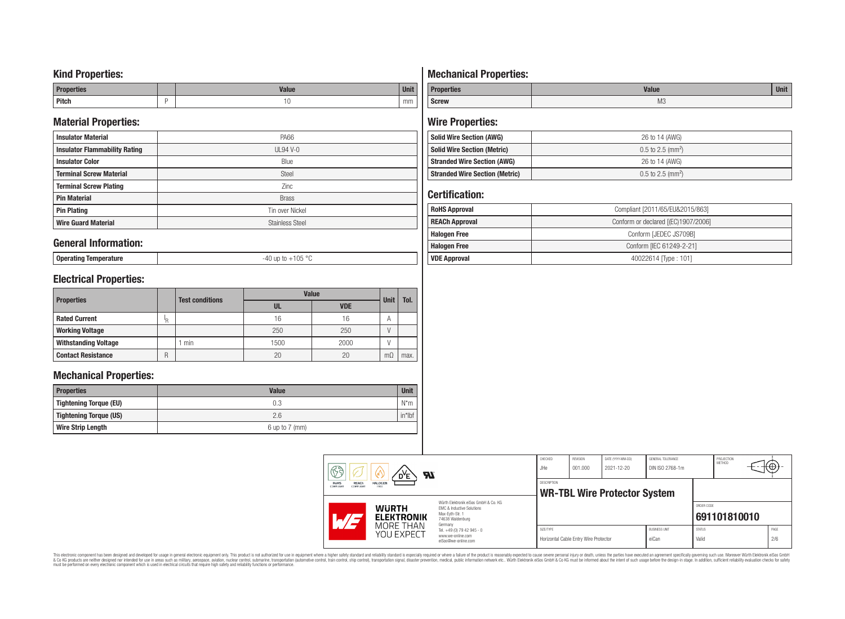### **Kind Properties:**

| <b>Properties</b> |   | <b>Moline</b><br>"dluc- | <b>Unit</b> |
|-------------------|---|-------------------------|-------------|
| <b>Pitch</b>      | - | טו                      | mm          |

### **Material Properties:**

| <b>Insulator Material</b>            | <b>PA66</b>            |
|--------------------------------------|------------------------|
| <b>Insulator Flammability Rating</b> | $UL94$ V-0             |
| <b>Insulator Color</b>               | Blue                   |
| <b>Terminal Screw Material</b>       | Steel                  |
| <b>Terminal Screw Plating</b>        | Zinc                   |
| <b>Pin Material</b>                  | <b>Brass</b>           |
| <b>Pin Plating</b>                   | Tin over Nickel        |
| <b>Wire Guard Material</b>           | <b>Stainless Steel</b> |

### **General Information:**

**Operating Temperature** -40 up to +105 °C

## **Electrical Properties:**

|                             |    | <b>Test conditions</b> | <b>Value</b> | <b>Unit</b> | Tol.           |      |
|-----------------------------|----|------------------------|--------------|-------------|----------------|------|
| <b>Properties</b>           |    |                        | UL           | <b>VDE</b>  |                |      |
| <b>Rated Current</b>        | I₽ |                        | 16           | 16          | $\overline{A}$ |      |
| <b>Working Voltage</b>      |    |                        | 250          | 250         |                |      |
| <b>Withstanding Voltage</b> |    | min                    | 1500         | 2000        |                |      |
| <b>Contact Resistance</b>   | R  |                        | 20           | 20          | mΩ             | max. |

### **Mechanical Properties:**

| <b>Properties</b>             | <b>Value</b>       | Unit      |
|-------------------------------|--------------------|-----------|
| <b>Tightening Torque (EU)</b> | 0.3                | $N^*m$    |
| Tightening Torque (US)        | 2.6                | $in*$ lbf |
| <b>Wire Strip Length</b>      | $6$ up to $7$ (mm) |           |

# **Mechanical Properties:**

| <b>Properties</b> | <b>Value</b>   | <b>Unit</b> |
|-------------------|----------------|-------------|
| <b>Screw</b>      | M <sub>3</sub> |             |

# **Wire Properties:**

| <b>Solid Wire Section (AWG)</b>       | 26 to 14 (AWG)                  |
|---------------------------------------|---------------------------------|
| <b>Solid Wire Section (Metric)</b>    | $0.5$ to 2.5 (mm <sup>2</sup> ) |
| <b>Stranded Wire Section (AWG)</b>    | 26 to 14 (AWG)                  |
| <b>Stranded Wire Section (Metric)</b> | $0.5$ to 2.5 (mm <sup>2</sup> ) |

## **Certification:**

| <b>RoHS Approval</b>  | Compliant [2011/65/EU&2015/863]     |  |  |  |
|-----------------------|-------------------------------------|--|--|--|
| <b>REACh Approval</b> | Conform or declared [(EC)1907/2006] |  |  |  |
| <b>Halogen Free</b>   | Conform [JEDEC JS709B]              |  |  |  |
| <b>Halogen Free</b>   | Conform [IEC 61249-2-21]            |  |  |  |
| <b>VDE Approval</b>   | 40022614 Type: 101]                 |  |  |  |

| 63                                                    | Яï<br>D <sup>Y</sup> E            |                                                                                                                     | CHECKED<br>JHe | <b>REVISION</b><br>001.000            | DATE (YYYY-MM-DD)<br>2021-12-20     | GENERAL TOLERANCE<br>DIN ISO 2768-1m |                        | PROJECTION<br><b>METHOD</b> | $\mathfrak{t}\oplus\mathfrak{h}$ |  |
|-------------------------------------------------------|-----------------------------------|---------------------------------------------------------------------------------------------------------------------|----------------|---------------------------------------|-------------------------------------|--------------------------------------|------------------------|-----------------------------|----------------------------------|--|
| REACh<br><b>RoHS</b><br><b>COMPLIANT</b><br>COMPLIANT | <b>HALOGEN</b><br>FREE            |                                                                                                                     | DESCRIPTION    |                                       | <b>WR-TBL Wire Protector System</b> |                                      |                        |                             |                                  |  |
| L/F                                                   | <b>WURTH</b><br><b>ELEKTRONIK</b> | Würth Elektronik eiSos GmbH & Co. KG<br>EMC & Inductive Solutions<br>Max-Evth-Str. 1<br>74638 Waldenburg<br>Germany |                |                                       |                                     |                                      | ORDER CODE             | 691101810010                |                                  |  |
|                                                       | MORE THAN<br>YOU EXPECT           | Tel. +49 (0) 79 42 945 - 0<br>www.we-online.com<br>eiSos@we-online.com                                              | SIZE/TYPE      | Horizontal Cable Entry Wire Protector |                                     | <b>BUSINESS UNIT</b><br>eiCan        | <b>STATUS</b><br>Valid |                             | PAGE<br>2/6                      |  |

This electronic component has been designed and developed for usage in general electronic equipment only. This product is not authorized for subserved requipment where a higher selection equipment where a higher selection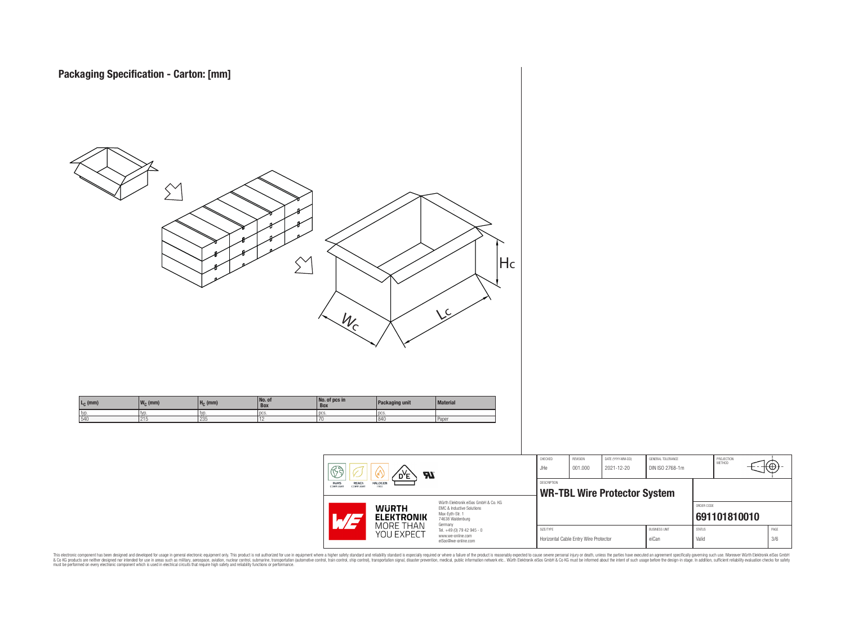

This electronic component has been designed and developed for usage in general electronic equipment only. This product is not authorized for subserved requipment where a higher selection equipment where a higher selection

PROJECTION<br>METHOD

ю

**[691101810010](https://www.we-online.com/catalog/en/article/691101810010)**

ORDER CODE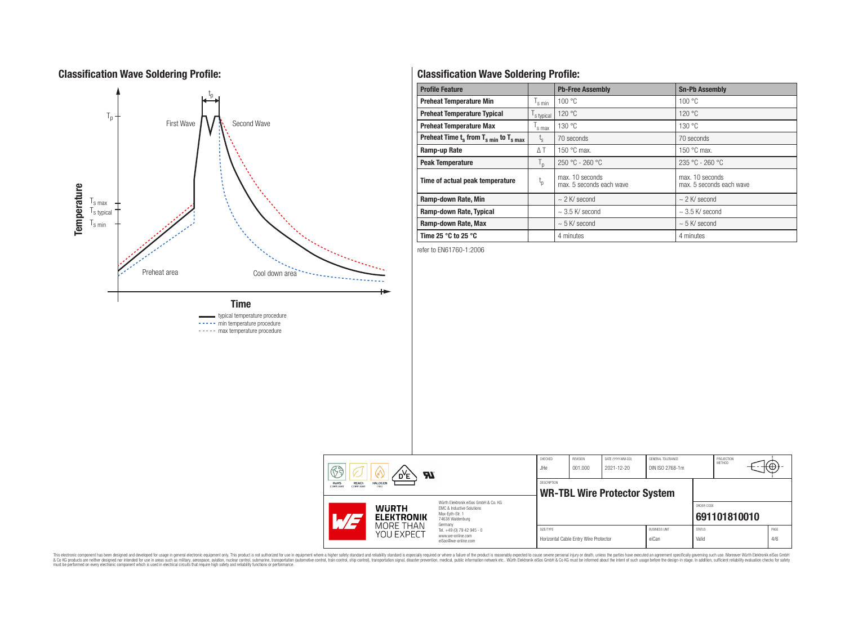## **Classification Wave Soldering Profile:**



**Classification Wave Soldering Profile:**

| <b>Profile Feature</b>                             |               | <b>Pb-Free Assembly</b>                     | <b>Sn-Pb Assembly</b>                       |
|----------------------------------------------------|---------------|---------------------------------------------|---------------------------------------------|
| <b>Preheat Temperature Min</b>                     | s min         | 100 °C                                      | 100 °C                                      |
| <b>Preheat Temperature Typical</b>                 | s typical     | 120 °C                                      | 120 °C                                      |
| <b>Preheat Temperature Max</b>                     | 's max        | 130 °C                                      | 130 °C                                      |
| Preheat Time $t_s$ from $T_{s,min}$ to $T_{s,max}$ | $t_{\rm s}$   | 70 seconds                                  | 70 seconds                                  |
| Ramp-up Rate                                       | $\triangle$ T | 150 $\degree$ C max.                        | 150 $\degree$ C max.                        |
| <b>Peak Temperature</b>                            | $T_{\rm D}$   | 250 °C - 260 °C                             | 235 °C - 260 °C                             |
| $t_{p}$<br>Time of actual peak temperature         |               | max. 10 seconds<br>max. 5 seconds each wave | max. 10 seconds<br>max. 5 seconds each wave |
| Ramp-down Rate, Min                                |               | $\sim$ 2 K/ second                          | $\sim$ 2 K/ second                          |
| Ramp-down Rate, Typical                            |               | $\sim$ 3.5 K/ second                        | $\sim$ 3.5 K/ second                        |
| Ramp-down Rate, Max                                |               | $\sim$ 5 K/ second                          | $\sim$ 5 K/ second                          |
| Time 25 $\degree$ C to 25 $\degree$ C              |               | 4 minutes                                   | 4 minutes                                   |

refer to EN61760-1:2006

| $\mathbb{R}$ a<br>Яī<br>D <sup>Y</sup> E                                        |                         | CHECKED<br><b>REVISION</b><br>DATE (YYYY-MM-DD)<br>GENERAL TOLERANCE<br>DIN ISO 2768-1m<br>JHe<br>001.000<br>2021-12-20 |             |                                       | PROJECTION<br>METHOD                | ₩                             |                        |              |             |  |
|---------------------------------------------------------------------------------|-------------------------|-------------------------------------------------------------------------------------------------------------------------|-------------|---------------------------------------|-------------------------------------|-------------------------------|------------------------|--------------|-------------|--|
| <b>REACh</b><br><b>HALOGEN</b><br><b>RoHS</b><br>COMPLIANT<br>FREE<br>COMPLIANT |                         |                                                                                                                         | DESCRIPTION |                                       | <b>WR-TBL Wire Protector System</b> |                               |                        |              |             |  |
| <b>WURTH</b><br>$\blacksquare$                                                  | <b>ELEKTRONIK</b>       | Würth Flektronik eiSos GmbH & Co. KG<br>FMC & Inductive Solutions<br>Max-Evth-Str. 1<br>74638 Waldenburg<br>Germany     |             |                                       |                                     |                               | ORDER CODE             | 691101810010 |             |  |
|                                                                                 | MORE THAN<br>YOU EXPECT | Tel. +49 (0) 79 42 945 - 0<br>www.we-online.com<br>eiSos@we-online.com                                                  | SIZE/TYPE   | Horizontal Cable Entry Wire Protector |                                     | <b>BUSINESS UNIT</b><br>eiCan | <b>STATUS</b><br>Valid |              | PAGE<br>4/6 |  |

This electronic component has been designed and developed for usage in general electronic equipment only. This product is not authorized for subserved requipment where a higher selection equipment where a higher selection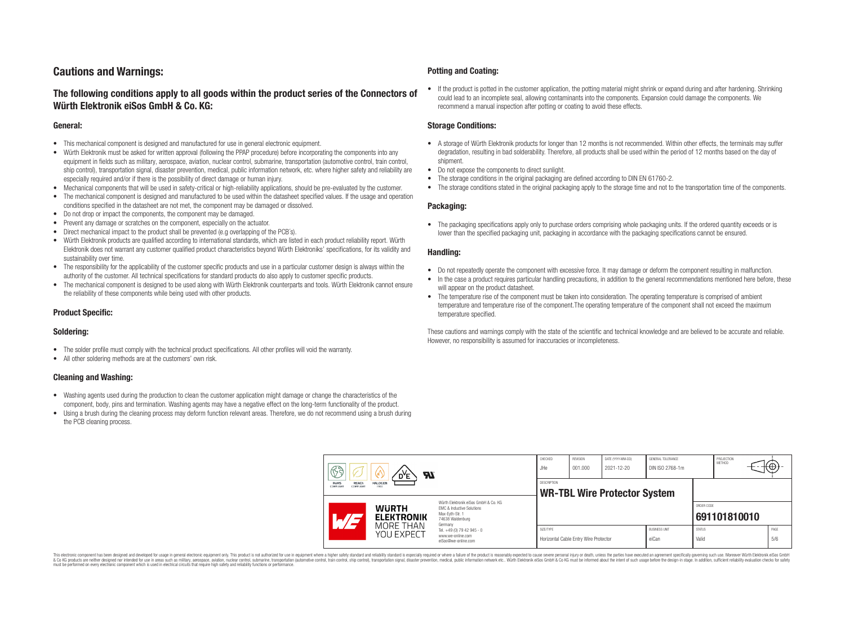## **Cautions and Warnings:**

### **The following conditions apply to all goods within the product series of the Connectors of Würth Elektronik eiSos GmbH & Co. KG:**

#### **General:**

- This mechanical component is designed and manufactured for use in general electronic equipment.
- Würth Elektronik must be asked for written approval (following the PPAP procedure) before incorporating the components into any equipment in fields such as military, aerospace, aviation, nuclear control, submarine, transportation (automotive control, train control, ship control), transportation signal, disaster prevention, medical, public information network, etc. where higher safety and reliability are especially required and/or if there is the possibility of direct damage or human injury.
- Mechanical components that will be used in safety-critical or high-reliability applications, should be pre-evaluated by the customer.
- The mechanical component is designed and manufactured to be used within the datasheet specified values. If the usage and operation conditions specified in the datasheet are not met, the component may be damaged or dissolved.
- Do not drop or impact the components, the component may be damaged.
- Prevent any damage or scratches on the component, especially on the actuator.
- Direct mechanical impact to the product shall be prevented (e.g overlapping of the PCB's).
- Würth Elektronik products are qualified according to international standards, which are listed in each product reliability report. Würth Elektronik does not warrant any customer qualified product characteristics beyond Würth Elektroniks' specifications, for its validity and sustainability over time.
- The responsibility for the applicability of the customer specific products and use in a particular customer design is always within the authority of the customer. All technical specifications for standard products do also apply to customer specific products.
- The mechanical component is designed to be used along with Würth Elektronik counterparts and tools. Würth Elektronik cannot ensure the reliability of these components while being used with other products.

#### **Product Specific:**

#### **Soldering:**

- The solder profile must comply with the technical product specifications. All other profiles will void the warranty.
- All other soldering methods are at the customers' own risk.

#### **Cleaning and Washing:**

- Washing agents used during the production to clean the customer application might damage or change the characteristics of the component, body, pins and termination. Washing agents may have a negative effect on the long-term functionality of the product.
- Using a brush during the cleaning process may deform function relevant areas. Therefore, we do not recommend using a brush during the PCB cleaning process.

#### **Potting and Coating:**

• If the product is potted in the customer application, the potting material might shrink or expand during and after hardening. Shrinking could lead to an incomplete seal, allowing contaminants into the components. Expansion could damage the components. We recommend a manual inspection after potting or coating to avoid these effects.

#### **Storage Conditions:**

- A storage of Würth Elektronik products for longer than 12 months is not recommended. Within other effects, the terminals may suffer degradation, resulting in bad solderability. Therefore, all products shall be used within the period of 12 months based on the day of shipment.
- Do not expose the components to direct sunlight.
- The storage conditions in the original packaging are defined according to DIN EN 61760-2.
- The storage conditions stated in the original packaging apply to the storage time and not to the transportation time of the components.

#### **Packaging:**

• The packaging specifications apply only to purchase orders comprising whole packaging units. If the ordered quantity exceeds or is lower than the specified packaging unit, packaging in accordance with the packaging specifications cannot be ensured.

#### **Handling:**

- Do not repeatedly operate the component with excessive force. It may damage or deform the component resulting in malfunction.
- In the case a product requires particular handling precautions, in addition to the general recommendations mentioned here before, these will appear on the product datasheet
- The temperature rise of the component must be taken into consideration. The operating temperature is comprised of ambient temperature and temperature rise of the component.The operating temperature of the component shall not exceed the maximum temperature specified.

These cautions and warnings comply with the state of the scientific and technical knowledge and are believed to be accurate and reliable. However, no responsibility is assumed for inaccuracies or incompleteness.

| B<br><b>Al</b>                                                           |                                                              |                                                                                                                                                                                                          | CHECKED<br>JHe                                            | <b>REVISION</b><br>001.000            | DATE (YYYY-MM-DD)<br>2021-12-20 | GENERAL TOLERANCE<br>DIN ISO 2768-1m |                        | PROJECTION<br>METHOD | (⊕          |
|--------------------------------------------------------------------------|--------------------------------------------------------------|----------------------------------------------------------------------------------------------------------------------------------------------------------------------------------------------------------|-----------------------------------------------------------|---------------------------------------|---------------------------------|--------------------------------------|------------------------|----------------------|-------------|
| RoHS<br><b>HALOGEN</b><br><b>REACh</b><br>COMPLIANT<br>COMPLIANT<br>FREE |                                                              |                                                                                                                                                                                                          | <b>DESCRIPTION</b><br><b>WR-TBL Wire Protector System</b> |                                       |                                 |                                      |                        |                      |             |
|                                                                          | <b>WURTH</b><br><b>ELEKTRONIK</b><br>MORE THAN<br>YOU EXPECT | Würth Elektronik eiSos GmbH & Co. KG<br><b>EMC &amp; Inductive Solutions</b><br>Max-Eyth-Str. 1<br>74638 Waldenburg<br>Germany<br>Tel. +49 (0) 79 42 945 - 0<br>www.we-online.com<br>eiSos@we-online.com |                                                           |                                       |                                 |                                      | ORDER CODE             | 691101810010         |             |
|                                                                          |                                                              |                                                                                                                                                                                                          | SIZE/TYPE                                                 | Horizontal Cable Entry Wire Protector |                                 | <b>BUSINESS UNIT</b><br>eiCan        | <b>STATUS</b><br>Valid |                      | PAGE<br>5/6 |

This electronic component has been designed and developed for usage in general electronic equipment only. This product is not authorized for use in equipment where a higher safety standard and reliability standard si espec & Ook product a label and the membed of the seasuch as marked and as which such a membed and the such assume that income in the seasuch and the simulation and the such assume that include to the such a membed and the such